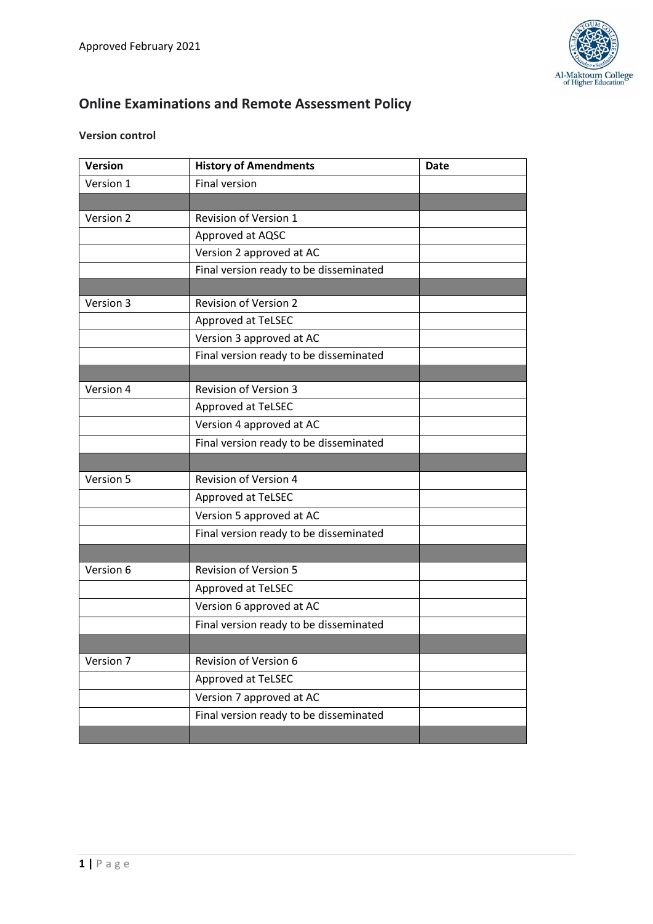

# **Online Examinations and Remote Assessment Policy**

## **Version control**

| <b>Version</b> | <b>History of Amendments</b>           | <b>Date</b> |
|----------------|----------------------------------------|-------------|
| Version 1      | <b>Final version</b>                   |             |
|                |                                        |             |
| Version 2      | Revision of Version 1                  |             |
|                | Approved at AQSC                       |             |
|                | Version 2 approved at AC               |             |
|                | Final version ready to be disseminated |             |
|                |                                        |             |
| Version 3      | <b>Revision of Version 2</b>           |             |
|                | Approved at TeLSEC                     |             |
|                | Version 3 approved at AC               |             |
|                | Final version ready to be disseminated |             |
|                |                                        |             |
| Version 4      | <b>Revision of Version 3</b>           |             |
|                | Approved at TeLSEC                     |             |
|                | Version 4 approved at AC               |             |
|                | Final version ready to be disseminated |             |
|                |                                        |             |
| Version 5      | <b>Revision of Version 4</b>           |             |
|                | Approved at TeLSEC                     |             |
|                | Version 5 approved at AC               |             |
|                | Final version ready to be disseminated |             |
|                |                                        |             |
| Version 6      | <b>Revision of Version 5</b>           |             |
|                | Approved at TeLSEC                     |             |
|                | Version 6 approved at AC               |             |
|                | Final version ready to be disseminated |             |
|                |                                        |             |
| Version 7      | Revision of Version 6                  |             |
|                | Approved at TeLSEC                     |             |
|                | Version 7 approved at AC               |             |
|                | Final version ready to be disseminated |             |
|                |                                        |             |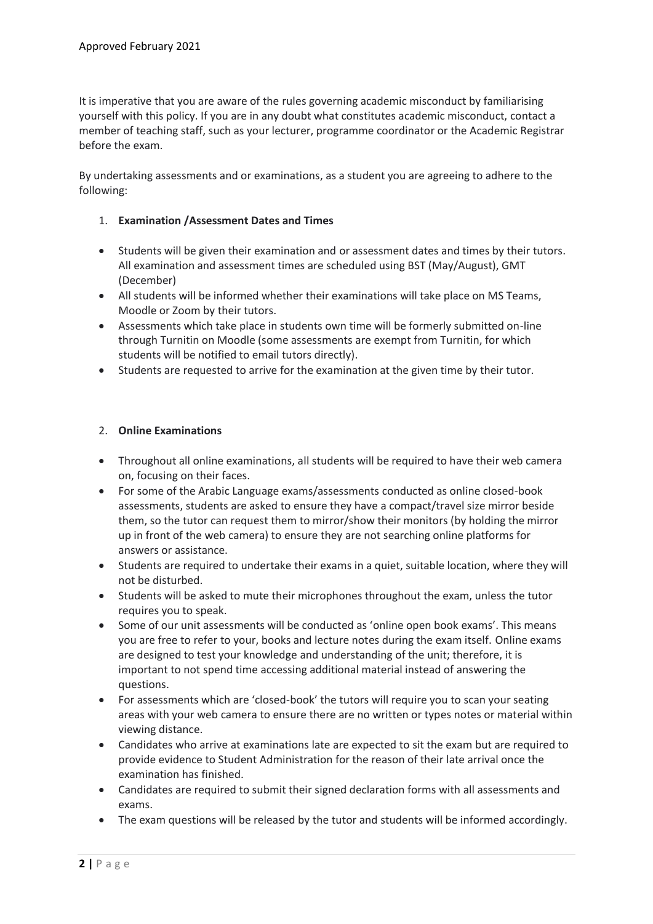It is imperative that you are aware of the rules governing academic misconduct by familiarising yourself with this policy. If you are in any doubt what constitutes academic misconduct, contact a member of teaching staff, such as your lecturer, programme coordinator or the Academic Registrar before the exam.

By undertaking assessments and or examinations, as a student you are agreeing to adhere to the following:

### 1. **Examination /Assessment Dates and Times**

- Students will be given their examination and or assessment dates and times by their tutors. All examination and assessment times are scheduled using BST (May/August), GMT (December)
- All students will be informed whether their examinations will take place on MS Teams, Moodle or Zoom by their tutors.
- Assessments which take place in students own time will be formerly submitted on-line through Turnitin on Moodle (some assessments are exempt from Turnitin, for which students will be notified to email tutors directly).
- Students are requested to arrive for the examination at the given time by their tutor.

#### 2. **Online Examinations**

- Throughout all online examinations, all students will be required to have their web camera on, focusing on their faces.
- For some of the Arabic Language exams/assessments conducted as online closed-book assessments, students are asked to ensure they have a compact/travel size mirror beside them, so the tutor can request them to mirror/show their monitors (by holding the mirror up in front of the web camera) to ensure they are not searching online platforms for answers or assistance.
- Students are required to undertake their exams in a quiet, suitable location, where they will not be disturbed.
- Students will be asked to mute their microphones throughout the exam, unless the tutor requires you to speak.
- Some of our unit assessments will be conducted as 'online open book exams'. This means you are free to refer to your, books and lecture notes during the exam itself. Online exams are designed to test your knowledge and understanding of the unit; therefore, it is important to not spend time accessing additional material instead of answering the questions.
- For assessments which are 'closed-book' the tutors will require you to scan your seating areas with your web camera to ensure there are no written or types notes or material within viewing distance.
- Candidates who arrive at examinations late are expected to sit the exam but are required to provide evidence to Student Administration for the reason of their late arrival once the examination has finished.
- Candidates are required to submit their signed declaration forms with all assessments and exams.
- The exam questions will be released by the tutor and students will be informed accordingly.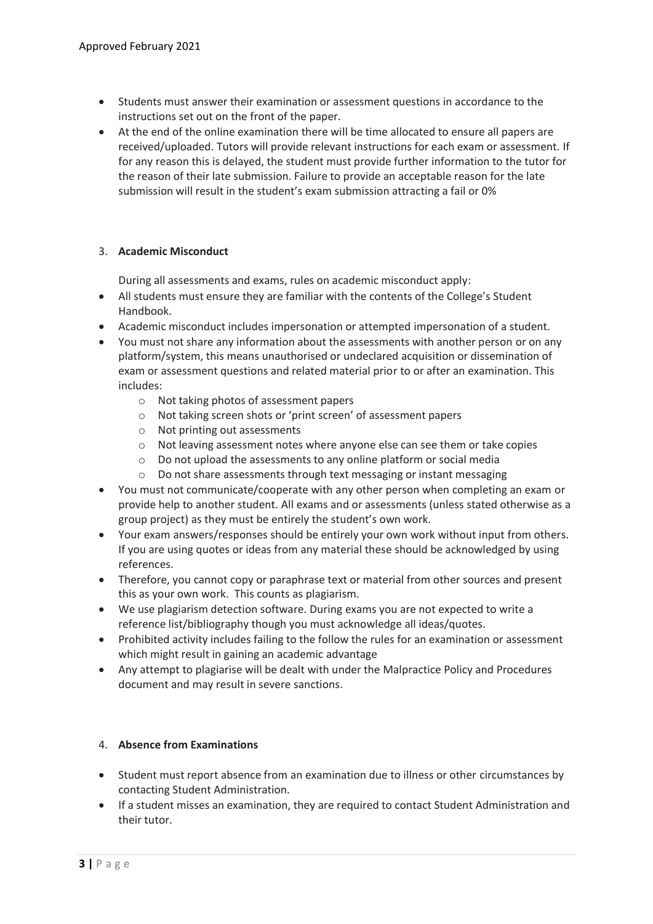- Students must answer their examination or assessment questions in accordance to the instructions set out on the front of the paper.
- At the end of the online examination there will be time allocated to ensure all papers are received/uploaded. Tutors will provide relevant instructions for each exam or assessment. If for any reason this is delayed, the student must provide further information to the tutor for the reason of their late submission. Failure to provide an acceptable reason for the late submission will result in the student's exam submission attracting a fail or 0%

#### 3. **Academic Misconduct**

During all assessments and exams, rules on academic misconduct apply:

- All students must ensure they are familiar with the contents of the College's Student Handbook.
- Academic misconduct includes impersonation or attempted impersonation of a student.
- You must not share any information about the assessments with another person or on any platform/system, this means unauthorised or undeclared acquisition or dissemination of exam or assessment questions and related material prior to or after an examination. This includes:
	- o Not taking photos of assessment papers
	- o Not taking screen shots or 'print screen' of assessment papers
	- o Not printing out assessments
	- o Not leaving assessment notes where anyone else can see them or take copies
	- o Do not upload the assessments to any online platform or social media
	- o Do not share assessments through text messaging or instant messaging
- You must not communicate/cooperate with any other person when completing an exam or provide help to another student. All exams and or assessments (unless stated otherwise as a group project) as they must be entirely the student's own work.
- Your exam answers/responses should be entirely your own work without input from others. If you are using quotes or ideas from any material these should be acknowledged by using references.
- Therefore, you cannot copy or paraphrase text or material from other sources and present this as your own work. This counts as plagiarism.
- We use plagiarism detection software. During exams you are not expected to write a reference list/bibliography though you must acknowledge all ideas/quotes.
- Prohibited activity includes failing to the follow the rules for an examination or assessment which might result in gaining an academic advantage
- Any attempt to plagiarise will be dealt with under the Malpractice Policy and Procedures document and may result in severe sanctions.

#### 4. **Absence from Examinations**

- Student must report absence from an examination due to illness or other circumstances by contacting Student Administration.
- If a student misses an examination, they are required to contact Student Administration and their tutor.